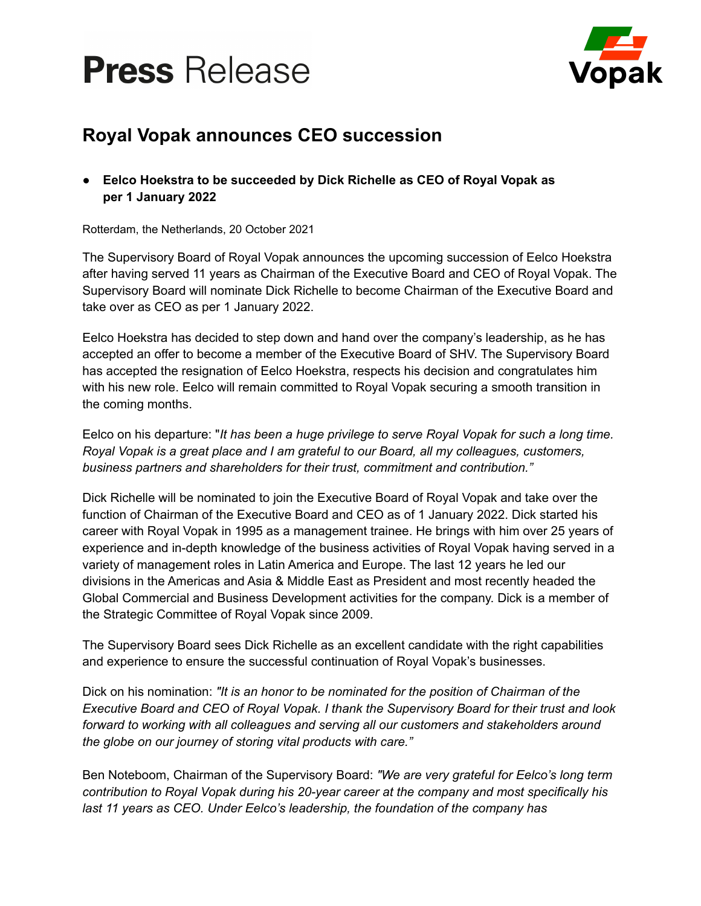



## **Royal Vopak announces CEO succession**

**● Eelco Hoekstra to be succeeded by Dick Richelle as CEO of Royal Vopak as per 1 January 2022**

Rotterdam, the Netherlands, 20 October 2021

The Supervisory Board of Royal Vopak announces the upcoming succession of Eelco Hoekstra after having served 11 years as Chairman of the Executive Board and CEO of Royal Vopak. The Supervisory Board will nominate Dick Richelle to become Chairman of the Executive Board and take over as CEO as per 1 January 2022.

Eelco Hoekstra has decided to step down and hand over the company's leadership, as he has accepted an offer to become a member of the Executive Board of SHV. The Supervisory Board has accepted the resignation of Eelco Hoekstra, respects his decision and congratulates him with his new role. Eelco will remain committed to Royal Vopak securing a smooth transition in the coming months.

Eelco on his departure: "*It has been a huge privilege to serve Royal Vopak for such a long time. Royal Vopak is a great place and I am grateful to our Board, all my colleagues, customers, business partners and shareholders for their trust, commitment and contribution."*

Dick Richelle will be nominated to join the Executive Board of Royal Vopak and take over the function of Chairman of the Executive Board and CEO as of 1 January 2022. Dick started his career with Royal Vopak in 1995 as a management trainee. He brings with him over 25 years of experience and in-depth knowledge of the business activities of Royal Vopak having served in a variety of management roles in Latin America and Europe. The last 12 years he led our divisions in the Americas and Asia & Middle East as President and most recently headed the Global Commercial and Business Development activities for the company. Dick is a member of the Strategic Committee of Royal Vopak since 2009.

The Supervisory Board sees Dick Richelle as an excellent candidate with the right capabilities and experience to ensure the successful continuation of Royal Vopak's businesses.

Dick on his nomination: *"It is an honor to be nominated for the position of Chairman of the Executive Board and CEO of Royal Vopak. I thank the Supervisory Board for their trust and look forward to working with all colleagues and serving all our customers and stakeholders around the globe on our journey of storing vital products with care."*

Ben Noteboom, Chairman of the Supervisory Board: *"We are very grateful for Eelco's long term contribution to Royal Vopak during his 20-year career at the company and most specifically his last 11 years as CEO. Under Eelco's leadership, the foundation of the company has*